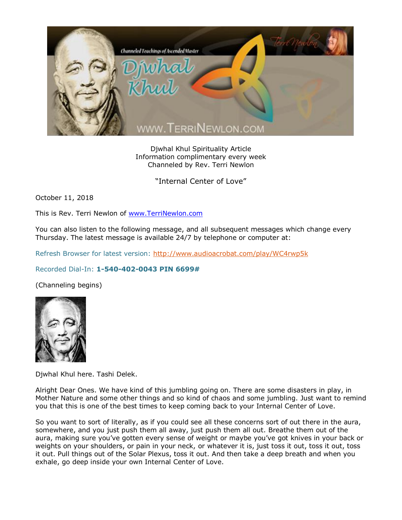

Djwhal Khul Spirituality Article Information complimentary every week Channeled by Rev. Terri Newlon

"Internal Center of Love"

October 11, 2018

This is Rev. Terri Newlon of [www.TerriNewlon.com](http://www.terrinewlon.com/)

You can also listen to the following message, and all subsequent messages which change every Thursday. The latest message is available 24/7 by telephone or computer at:

Refresh Browser for latest version:<http://www.audioacrobat.com/play/WC4rwp5k>

## Recorded Dial-In: **1-540-402-0043 PIN 6699#**

(Channeling begins)



Djwhal Khul here. Tashi Delek.

Alright Dear Ones. We have kind of this jumbling going on. There are some disasters in play, in Mother Nature and some other things and so kind of chaos and some jumbling. Just want to remind you that this is one of the best times to keep coming back to your Internal Center of Love.

So you want to sort of literally, as if you could see all these concerns sort of out there in the aura, somewhere, and you just push them all away, just push them all out. Breathe them out of the aura, making sure you've gotten every sense of weight or maybe you've got knives in your back or weights on your shoulders, or pain in your neck, or whatever it is, just toss it out, toss it out, toss it out. Pull things out of the Solar Plexus, toss it out. And then take a deep breath and when you exhale, go deep inside your own Internal Center of Love.